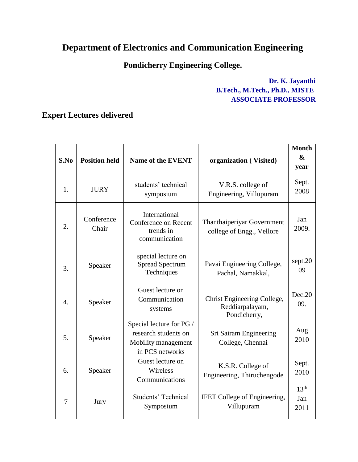## **Department of Electronics and Communication Engineering**

## **Pondicherry Engineering College.**

## **Dr. K. Jayanthi B.Tech., M.Tech., Ph.D., MISTE ASSOCIATE PROFESSOR**

## **Expert Lectures delivered**

| S.No | <b>Position held</b> | <b>Name of the EVENT</b>                                                                   | organization (Visited)                                         | <b>Month</b><br>$\boldsymbol{\&}$<br>year |
|------|----------------------|--------------------------------------------------------------------------------------------|----------------------------------------------------------------|-------------------------------------------|
| 1.   | <b>JURY</b>          | students' technical<br>symposium                                                           | V.R.S. college of<br>Engineering, Villupuram                   | Sept.<br>2008                             |
| 2.   | Conference<br>Chair  | International<br><b>Conference on Recent</b><br>trends in<br>communication                 | Thanthaiperiyar Government<br>college of Engg., Vellore        | Jan<br>2009.                              |
| 3.   | Speaker              | special lecture on<br><b>Spread Spectrum</b><br>Techniques                                 | Pavai Engineering College,<br>Pachal, Namakkal,                | sept.20<br>09                             |
| 4.   | Speaker              | Guest lecture on<br>Communication<br>systems                                               | Christ Engineering College,<br>Reddiarpalayam,<br>Pondicherry, | Dec.20<br>09.                             |
| 5.   | Speaker              | Special lecture for PG /<br>research students on<br>Mobility management<br>in PCS networks | Sri Sairam Engineering<br>College, Chennai                     | Aug<br>2010                               |
| 6.   | Speaker              | Guest lecture on<br>Wireless<br>Communications                                             | K.S.R. College of<br>Engineering, Thiruchengode                | Sept.<br>2010                             |
| 7    | Jury                 | <b>Students' Technical</b><br>Symposium                                                    | <b>IFET</b> College of Engineering,<br>Villupuram              | 13 <sup>th</sup><br>Jan<br>2011           |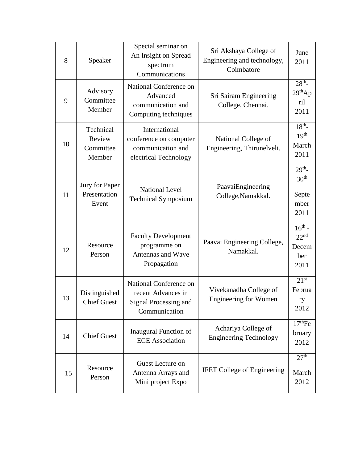| 8  | Speaker                                    | Special seminar on<br>An Insight on Spread<br>spectrum<br>Communications                      | Sri Akshaya College of<br>Engineering and technology,<br>Coimbatore | June<br>2011                                                  |
|----|--------------------------------------------|-----------------------------------------------------------------------------------------------|---------------------------------------------------------------------|---------------------------------------------------------------|
| 9  | Advisory<br>Committee<br>Member            | National Conference on<br>Advanced<br>communication and<br>Computing techniques               | Sri Sairam Engineering<br>College, Chennai.                         | 28 <sup>th</sup><br>29 <sup>th</sup> Ap<br>ril<br>2011        |
| 10 | Technical<br>Review<br>Committee<br>Member | International<br>conference on computer<br>communication and<br>electrical Technology         | National College of<br>Engineering, Thirunelveli.                   | 18 <sup>th</sup><br>19 <sup>th</sup><br>March<br>2011         |
| 11 | Jury for Paper<br>Presentation<br>Event    | <b>National Level</b><br><b>Technical Symposium</b>                                           | PaavaiEngineering<br>College, Namakkal.                             | 29 <sup>th</sup><br>30 <sup>th</sup><br>Septe<br>mber<br>2011 |
| 12 | Resource<br>Person                         | <b>Faculty Development</b><br>programme on<br>Antennas and Wave<br>Propagation                | Paavai Engineering College,<br>Namakkal.                            | $16^{th}$ -<br>22 <sup>nd</sup><br>Decem<br>ber<br>2011       |
| 13 | Distinguished<br><b>Chief Guest</b>        | National Conference on<br>recent Advances in<br><b>Signal Processing and</b><br>Communication | Vivekanadha College of<br><b>Engineering for Women</b>              | $21^{st}$<br>Februa<br>ry<br>2012                             |
| 14 | <b>Chief Guest</b>                         | <b>Inaugural Function of</b><br><b>ECE</b> Association                                        | Achariya College of<br><b>Engineering Technology</b>                | 17 <sup>th</sup> Fe<br>bruary<br>2012                         |
| 15 | Resource<br>Person                         | Guest Lecture on<br>Antenna Arrays and<br>Mini project Expo                                   | <b>IFET College of Engineering</b>                                  | 27 <sup>th</sup><br>March<br>2012                             |